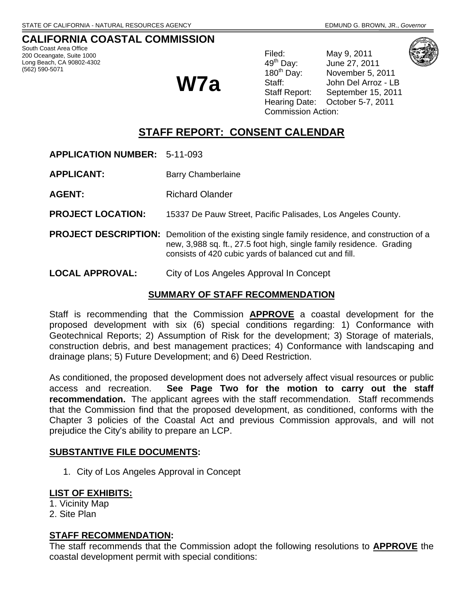# **CALIFORNIA COASTAL COMMISSION**

South Coast Area Office 200 Oceangate, Suite 1000 Long Beach, CA 90802-4302 (562) 590-5071

**W7a**

Filed: May 9, 2011<br>49<sup>th</sup> Day: June 27, 201 June 27, 2011 180<sup>th</sup> Day: November 5, 2011 Staff: John Del Arroz - LB Staff Report: September 15, 2011 Hearing Date: October 5-7, 2011 Commission Action:

# **STAFF REPORT: CONSENT CALENDAR**

**APPLICATION NUMBER:** 5-11-093

- **APPLICANT:** Barry Chamberlaine
- **AGENT:** Richard Olander

**PROJECT LOCATION:** 15337 De Pauw Street, Pacific Palisades, Los Angeles County.

- **PROJECT DESCRIPTION:** Demolition of the existing single family residence, and construction of a new, 3,988 sq. ft., 27.5 foot high, single family residence. Grading consists of 420 cubic yards of balanced cut and fill.
- **LOCAL APPROVAL:** City of Los Angeles Approval In Concept

#### **SUMMARY OF STAFF RECOMMENDATION**

Staff is recommending that the Commission **APPROVE** a coastal development for the proposed development with six (6) special conditions regarding: 1) Conformance with Geotechnical Reports; 2) Assumption of Risk for the development; 3) Storage of materials, construction debris, and best management practices; 4) Conformance with landscaping and drainage plans; 5) Future Development; and 6) Deed Restriction.

As conditioned, the proposed development does not adversely affect visual resources or public access and recreation. **See Page Two for the motion to carry out the staff recommendation.** The applicant agrees with the staff recommendation. Staff recommends that the Commission find that the proposed development, as conditioned, conforms with the Chapter 3 policies of the Coastal Act and previous Commission approvals, and will not prejudice the City's ability to prepare an LCP.

#### **SUBSTANTIVE FILE DOCUMENTS:**

1. City of Los Angeles Approval in Concept

# **LIST OF EXHIBITS:**

1. Vicinity Map

2. Site Plan

#### **STAFF RECOMMENDATION:**

The staff recommends that the Commission adopt the following resolutions to **APPROVE** the coastal development permit with special conditions: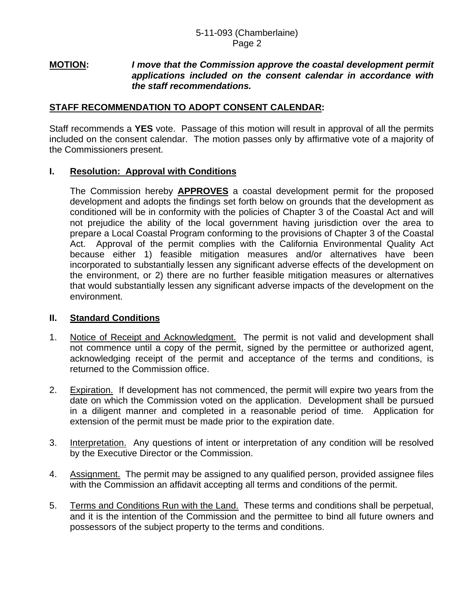#### **MOTION:** *I move that the Commission approve the coastal development permit applications included on the consent calendar in accordance with the staff recommendations.*

# **STAFF RECOMMENDATION TO ADOPT CONSENT CALENDAR:**

Staff recommends a **YES** vote. Passage of this motion will result in approval of all the permits included on the consent calendar. The motion passes only by affirmative vote of a majority of the Commissioners present.

# **I. Resolution: Approval with Conditions**

 The Commission hereby **APPROVES** a coastal development permit for the proposed development and adopts the findings set forth below on grounds that the development as conditioned will be in conformity with the policies of Chapter 3 of the Coastal Act and will not prejudice the ability of the local government having jurisdiction over the area to prepare a Local Coastal Program conforming to the provisions of Chapter 3 of the Coastal Act. Approval of the permit complies with the California Environmental Quality Act because either 1) feasible mitigation measures and/or alternatives have been incorporated to substantially lessen any significant adverse effects of the development on the environment, or 2) there are no further feasible mitigation measures or alternatives that would substantially lessen any significant adverse impacts of the development on the environment.

# **II. Standard Conditions**

- 1. Notice of Receipt and Acknowledgment. The permit is not valid and development shall not commence until a copy of the permit, signed by the permittee or authorized agent, acknowledging receipt of the permit and acceptance of the terms and conditions, is returned to the Commission office.
- 2. Expiration. If development has not commenced, the permit will expire two years from the date on which the Commission voted on the application. Development shall be pursued in a diligent manner and completed in a reasonable period of time. Application for extension of the permit must be made prior to the expiration date.
- 3. Interpretation. Any questions of intent or interpretation of any condition will be resolved by the Executive Director or the Commission.
- 4. Assignment. The permit may be assigned to any qualified person, provided assignee files with the Commission an affidavit accepting all terms and conditions of the permit.
- 5. Terms and Conditions Run with the Land. These terms and conditions shall be perpetual, and it is the intention of the Commission and the permittee to bind all future owners and possessors of the subject property to the terms and conditions.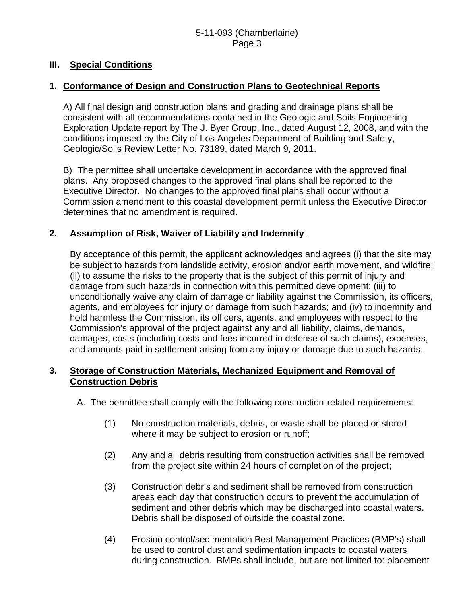# **III. Special Conditions**

# **1. Conformance of Design and Construction Plans to Geotechnical Reports**

 A) All final design and construction plans and grading and drainage plans shall be consistent with all recommendations contained in the Geologic and Soils Engineering Exploration Update report by The J. Byer Group, Inc., dated August 12, 2008, and with the conditions imposed by the City of Los Angeles Department of Building and Safety, Geologic/Soils Review Letter No. 73189, dated March 9, 2011.

 B) The permittee shall undertake development in accordance with the approved final plans. Any proposed changes to the approved final plans shall be reported to the Executive Director. No changes to the approved final plans shall occur without a Commission amendment to this coastal development permit unless the Executive Director determines that no amendment is required.

# **2. Assumption of Risk, Waiver of Liability and Indemnity**

 By acceptance of this permit, the applicant acknowledges and agrees (i) that the site may be subject to hazards from landslide activity, erosion and/or earth movement, and wildfire; (ii) to assume the risks to the property that is the subject of this permit of injury and damage from such hazards in connection with this permitted development; (iii) to unconditionally waive any claim of damage or liability against the Commission, its officers, agents, and employees for injury or damage from such hazards; and (iv) to indemnify and hold harmless the Commission, its officers, agents, and employees with respect to the Commission's approval of the project against any and all liability, claims, demands, damages, costs (including costs and fees incurred in defense of such claims), expenses, and amounts paid in settlement arising from any injury or damage due to such hazards.

# **3. Storage of Construction Materials, Mechanized Equipment and Removal of Construction Debris**

- A. The permittee shall comply with the following construction-related requirements:
	- (1) No construction materials, debris, or waste shall be placed or stored where it may be subject to erosion or runoff;
	- (2) Any and all debris resulting from construction activities shall be removed from the project site within 24 hours of completion of the project;
	- (3) Construction debris and sediment shall be removed from construction areas each day that construction occurs to prevent the accumulation of sediment and other debris which may be discharged into coastal waters. Debris shall be disposed of outside the coastal zone.
	- (4) Erosion control/sedimentation Best Management Practices (BMP's) shall be used to control dust and sedimentation impacts to coastal waters during construction. BMPs shall include, but are not limited to: placement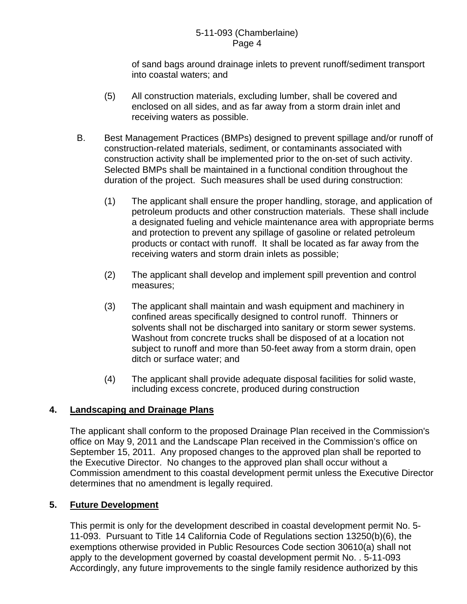of sand bags around drainage inlets to prevent runoff/sediment transport into coastal waters; and

- (5) All construction materials, excluding lumber, shall be covered and enclosed on all sides, and as far away from a storm drain inlet and receiving waters as possible.
- B. Best Management Practices (BMPs) designed to prevent spillage and/or runoff of construction-related materials, sediment, or contaminants associated with construction activity shall be implemented prior to the on-set of such activity. Selected BMPs shall be maintained in a functional condition throughout the duration of the project. Such measures shall be used during construction:
	- (1) The applicant shall ensure the proper handling, storage, and application of petroleum products and other construction materials. These shall include a designated fueling and vehicle maintenance area with appropriate berms and protection to prevent any spillage of gasoline or related petroleum products or contact with runoff. It shall be located as far away from the receiving waters and storm drain inlets as possible;
	- (2) The applicant shall develop and implement spill prevention and control measures;
	- (3) The applicant shall maintain and wash equipment and machinery in confined areas specifically designed to control runoff. Thinners or solvents shall not be discharged into sanitary or storm sewer systems. Washout from concrete trucks shall be disposed of at a location not subject to runoff and more than 50-feet away from a storm drain, open ditch or surface water; and
	- (4) The applicant shall provide adequate disposal facilities for solid waste, including excess concrete, produced during construction

# **4. Landscaping and Drainage Plans**

The applicant shall conform to the proposed Drainage Plan received in the Commission's office on May 9, 2011 and the Landscape Plan received in the Commission's office on September 15, 2011. Any proposed changes to the approved plan shall be reported to the Executive Director. No changes to the approved plan shall occur without a Commission amendment to this coastal development permit unless the Executive Director determines that no amendment is legally required.

# **5. Future Development**

This permit is only for the development described in coastal development permit No. 5- 11-093. Pursuant to Title 14 California Code of Regulations section 13250(b)(6), the exemptions otherwise provided in Public Resources Code section 30610(a) shall not apply to the development governed by coastal development permit No. . 5-11-093 Accordingly, any future improvements to the single family residence authorized by this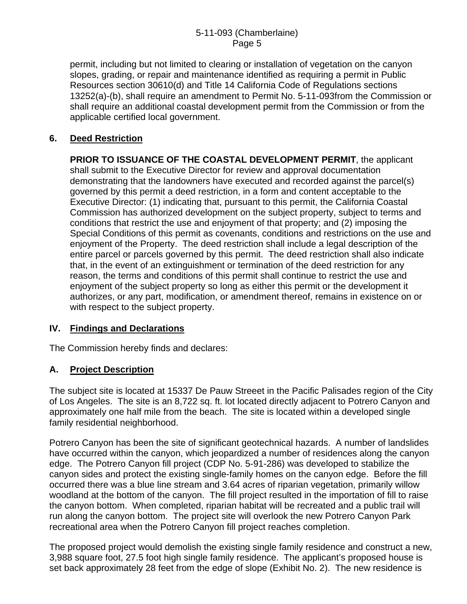permit, including but not limited to clearing or installation of vegetation on the canyon slopes, grading, or repair and maintenance identified as requiring a permit in Public Resources section 30610(d) and Title 14 California Code of Regulations sections 13252(a)-(b), shall require an amendment to Permit No. 5-11-093from the Commission or shall require an additional coastal development permit from the Commission or from the applicable certified local government.

# **6. Deed Restriction**

**PRIOR TO ISSUANCE OF THE COASTAL DEVELOPMENT PERMIT**, the applicant shall submit to the Executive Director for review and approval documentation demonstrating that the landowners have executed and recorded against the parcel(s) governed by this permit a deed restriction, in a form and content acceptable to the Executive Director: (1) indicating that, pursuant to this permit, the California Coastal Commission has authorized development on the subject property, subject to terms and conditions that restrict the use and enjoyment of that property; and (2) imposing the Special Conditions of this permit as covenants, conditions and restrictions on the use and enjoyment of the Property. The deed restriction shall include a legal description of the entire parcel or parcels governed by this permit. The deed restriction shall also indicate that, in the event of an extinguishment or termination of the deed restriction for any reason, the terms and conditions of this permit shall continue to restrict the use and enjoyment of the subject property so long as either this permit or the development it authorizes, or any part, modification, or amendment thereof, remains in existence on or with respect to the subject property.

# **IV. Findings and Declarations**

The Commission hereby finds and declares:

# **A. Project Description**

The subject site is located at 15337 De Pauw Streeet in the Pacific Palisades region of the City of Los Angeles. The site is an 8,722 sq. ft. lot located directly adjacent to Potrero Canyon and approximately one half mile from the beach. The site is located within a developed single family residential neighborhood.

Potrero Canyon has been the site of significant geotechnical hazards. A number of landslides have occurred within the canyon, which jeopardized a number of residences along the canyon edge. The Potrero Canyon fill project (CDP No. 5-91-286) was developed to stabilize the canyon sides and protect the existing single-family homes on the canyon edge. Before the fill occurred there was a blue line stream and 3.64 acres of riparian vegetation, primarily willow woodland at the bottom of the canyon. The fill project resulted in the importation of fill to raise the canyon bottom. When completed, riparian habitat will be recreated and a public trail will run along the canyon bottom. The project site will overlook the new Potrero Canyon Park recreational area when the Potrero Canyon fill project reaches completion.

The proposed project would demolish the existing single family residence and construct a new, 3,988 square foot, 27.5 foot high single family residence. The applicant's proposed house is set back approximately 28 feet from the edge of slope (Exhibit No. 2). The new residence is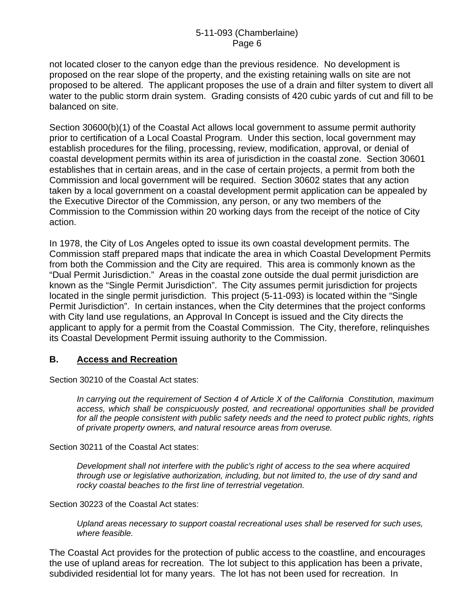not located closer to the canyon edge than the previous residence. No development is proposed on the rear slope of the property, and the existing retaining walls on site are not proposed to be altered. The applicant proposes the use of a drain and filter system to divert all water to the public storm drain system. Grading consists of 420 cubic yards of cut and fill to be balanced on site.

Section 30600(b)(1) of the Coastal Act allows local government to assume permit authority prior to certification of a Local Coastal Program. Under this section, local government may establish procedures for the filing, processing, review, modification, approval, or denial of coastal development permits within its area of jurisdiction in the coastal zone. Section 30601 establishes that in certain areas, and in the case of certain projects, a permit from both the Commission and local government will be required. Section 30602 states that any action taken by a local government on a coastal development permit application can be appealed by the Executive Director of the Commission, any person, or any two members of the Commission to the Commission within 20 working days from the receipt of the notice of City action.

In 1978, the City of Los Angeles opted to issue its own coastal development permits. The Commission staff prepared maps that indicate the area in which Coastal Development Permits from both the Commission and the City are required. This area is commonly known as the "Dual Permit Jurisdiction." Areas in the coastal zone outside the dual permit jurisdiction are known as the "Single Permit Jurisdiction". The City assumes permit jurisdiction for projects located in the single permit jurisdiction. This project (5-11-093) is located within the "Single Permit Jurisdiction". In certain instances, when the City determines that the project conforms with City land use regulations, an Approval In Concept is issued and the City directs the applicant to apply for a permit from the Coastal Commission. The City, therefore, relinquishes its Coastal Development Permit issuing authority to the Commission.

#### **B. Access and Recreation**

Section 30210 of the Coastal Act states:

*In carrying out the requirement of Section 4 of Article X of the California Constitution, maximum access, which shall be conspicuously posted, and recreational opportunities shall be provided for all the people consistent with public safety needs and the need to protect public rights, rights of private property owners, and natural resource areas from overuse.* 

Section 30211 of the Coastal Act states:

*Development shall not interfere with the public's right of access to the sea where acquired through use or legislative authorization, including, but not limited to, the use of dry sand and rocky coastal beaches to the first line of terrestrial vegetation.* 

Section 30223 of the Coastal Act states:

*Upland areas necessary to support coastal recreational uses shall be reserved for such uses, where feasible.* 

The Coastal Act provides for the protection of public access to the coastline, and encourages the use of upland areas for recreation. The lot subject to this application has been a private, subdivided residential lot for many years. The lot has not been used for recreation. In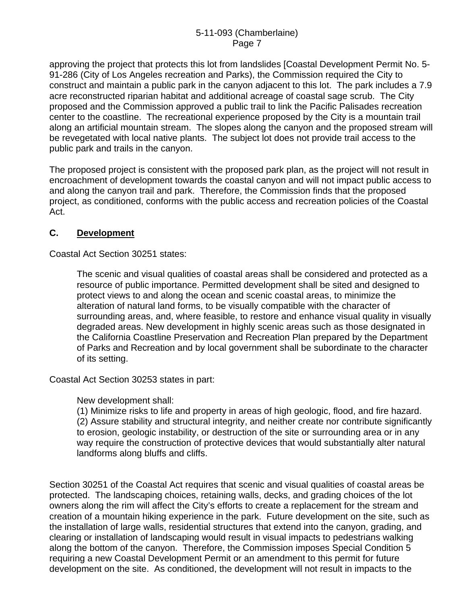approving the project that protects this lot from landslides [Coastal Development Permit No. 5- 91-286 (City of Los Angeles recreation and Parks), the Commission required the City to construct and maintain a public park in the canyon adjacent to this lot. The park includes a 7.9 acre reconstructed riparian habitat and additional acreage of coastal sage scrub. The City proposed and the Commission approved a public trail to link the Pacific Palisades recreation center to the coastline. The recreational experience proposed by the City is a mountain trail along an artificial mountain stream. The slopes along the canyon and the proposed stream will be revegetated with local native plants. The subject lot does not provide trail access to the public park and trails in the canyon.

The proposed project is consistent with the proposed park plan, as the project will not result in encroachment of development towards the coastal canyon and will not impact public access to and along the canyon trail and park. Therefore, the Commission finds that the proposed project, as conditioned, conforms with the public access and recreation policies of the Coastal Act.

# **C. Development**

Coastal Act Section 30251 states:

The scenic and visual qualities of coastal areas shall be considered and protected as a resource of public importance. Permitted development shall be sited and designed to protect views to and along the ocean and scenic coastal areas, to minimize the alteration of natural land forms, to be visually compatible with the character of surrounding areas, and, where feasible, to restore and enhance visual quality in visually degraded areas. New development in highly scenic areas such as those designated in the California Coastline Preservation and Recreation Plan prepared by the Department of Parks and Recreation and by local government shall be subordinate to the character of its setting.

Coastal Act Section 30253 states in part:

New development shall:

(1) Minimize risks to life and property in areas of high geologic, flood, and fire hazard. (2) Assure stability and structural integrity, and neither create nor contribute significantly to erosion, geologic instability, or destruction of the site or surrounding area or in any way require the construction of protective devices that would substantially alter natural landforms along bluffs and cliffs.

Section 30251 of the Coastal Act requires that scenic and visual qualities of coastal areas be protected. The landscaping choices, retaining walls, decks, and grading choices of the lot owners along the rim will affect the City's efforts to create a replacement for the stream and creation of a mountain hiking experience in the park. Future development on the site, such as the installation of large walls, residential structures that extend into the canyon, grading, and clearing or installation of landscaping would result in visual impacts to pedestrians walking along the bottom of the canyon. Therefore, the Commission imposes Special Condition 5 requiring a new Coastal Development Permit or an amendment to this permit for future development on the site. As conditioned, the development will not result in impacts to the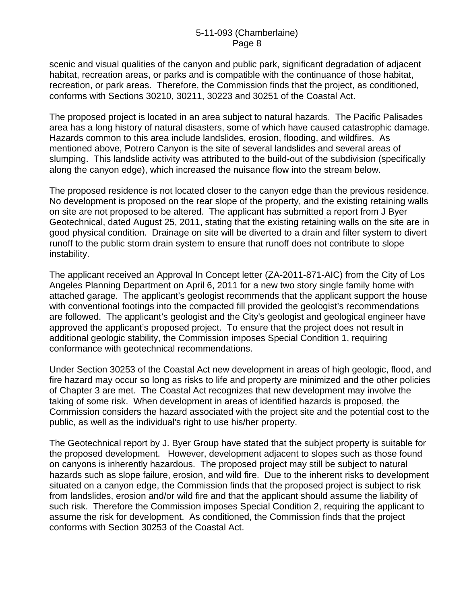scenic and visual qualities of the canyon and public park, significant degradation of adjacent habitat, recreation areas, or parks and is compatible with the continuance of those habitat, recreation, or park areas. Therefore, the Commission finds that the project, as conditioned, conforms with Sections 30210, 30211, 30223 and 30251 of the Coastal Act.

The proposed project is located in an area subject to natural hazards. The Pacific Palisades area has a long history of natural disasters, some of which have caused catastrophic damage. Hazards common to this area include landslides, erosion, flooding, and wildfires. As mentioned above, Potrero Canyon is the site of several landslides and several areas of slumping. This landslide activity was attributed to the build-out of the subdivision (specifically along the canyon edge), which increased the nuisance flow into the stream below.

The proposed residence is not located closer to the canyon edge than the previous residence. No development is proposed on the rear slope of the property, and the existing retaining walls on site are not proposed to be altered. The applicant has submitted a report from J Byer Geotechnical, dated August 25, 2011, stating that the existing retaining walls on the site are in good physical condition. Drainage on site will be diverted to a drain and filter system to divert runoff to the public storm drain system to ensure that runoff does not contribute to slope instability.

The applicant received an Approval In Concept letter (ZA-2011-871-AIC) from the City of Los Angeles Planning Department on April 6, 2011 for a new two story single family home with attached garage. The applicant's geologist recommends that the applicant support the house with conventional footings into the compacted fill provided the geologist's recommendations are followed. The applicant's geologist and the City's geologist and geological engineer have approved the applicant's proposed project. To ensure that the project does not result in additional geologic stability, the Commission imposes Special Condition 1, requiring conformance with geotechnical recommendations.

Under Section 30253 of the Coastal Act new development in areas of high geologic, flood, and fire hazard may occur so long as risks to life and property are minimized and the other policies of Chapter 3 are met. The Coastal Act recognizes that new development may involve the taking of some risk. When development in areas of identified hazards is proposed, the Commission considers the hazard associated with the project site and the potential cost to the public, as well as the individual's right to use his/her property.

The Geotechnical report by J. Byer Group have stated that the subject property is suitable for the proposed development. However, development adjacent to slopes such as those found on canyons is inherently hazardous. The proposed project may still be subject to natural hazards such as slope failure, erosion, and wild fire. Due to the inherent risks to development situated on a canyon edge, the Commission finds that the proposed project is subject to risk from landslides, erosion and/or wild fire and that the applicant should assume the liability of such risk. Therefore the Commission imposes Special Condition 2, requiring the applicant to assume the risk for development. As conditioned, the Commission finds that the project conforms with Section 30253 of the Coastal Act.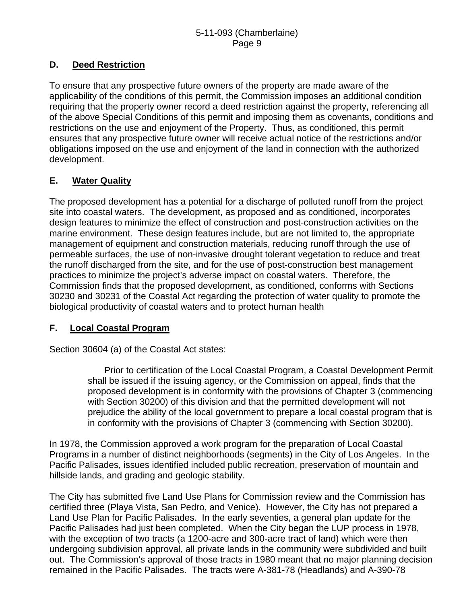# **D. Deed Restriction**

To ensure that any prospective future owners of the property are made aware of the applicability of the conditions of this permit, the Commission imposes an additional condition requiring that the property owner record a deed restriction against the property, referencing all of the above Special Conditions of this permit and imposing them as covenants, conditions and restrictions on the use and enjoyment of the Property. Thus, as conditioned, this permit ensures that any prospective future owner will receive actual notice of the restrictions and/or obligations imposed on the use and enjoyment of the land in connection with the authorized development.

# **E. Water Quality**

The proposed development has a potential for a discharge of polluted runoff from the project site into coastal waters. The development, as proposed and as conditioned, incorporates design features to minimize the effect of construction and post-construction activities on the marine environment. These design features include, but are not limited to, the appropriate management of equipment and construction materials, reducing runoff through the use of permeable surfaces, the use of non-invasive drought tolerant vegetation to reduce and treat the runoff discharged from the site, and for the use of post-construction best management practices to minimize the project's adverse impact on coastal waters. Therefore, the Commission finds that the proposed development, as conditioned, conforms with Sections 30230 and 30231 of the Coastal Act regarding the protection of water quality to promote the biological productivity of coastal waters and to protect human health

# **F. Local Coastal Program**

Section 30604 (a) of the Coastal Act states:

 Prior to certification of the Local Coastal Program, a Coastal Development Permit shall be issued if the issuing agency, or the Commission on appeal, finds that the proposed development is in conformity with the provisions of Chapter 3 (commencing with Section 30200) of this division and that the permitted development will not prejudice the ability of the local government to prepare a local coastal program that is in conformity with the provisions of Chapter 3 (commencing with Section 30200).

In 1978, the Commission approved a work program for the preparation of Local Coastal Programs in a number of distinct neighborhoods (segments) in the City of Los Angeles. In the Pacific Palisades, issues identified included public recreation, preservation of mountain and hillside lands, and grading and geologic stability.

The City has submitted five Land Use Plans for Commission review and the Commission has certified three (Playa Vista, San Pedro, and Venice). However, the City has not prepared a Land Use Plan for Pacific Palisades. In the early seventies, a general plan update for the Pacific Palisades had just been completed. When the City began the LUP process in 1978, with the exception of two tracts (a 1200-acre and 300-acre tract of land) which were then undergoing subdivision approval, all private lands in the community were subdivided and built out. The Commission's approval of those tracts in 1980 meant that no major planning decision remained in the Pacific Palisades. The tracts were A-381-78 (Headlands) and A-390-78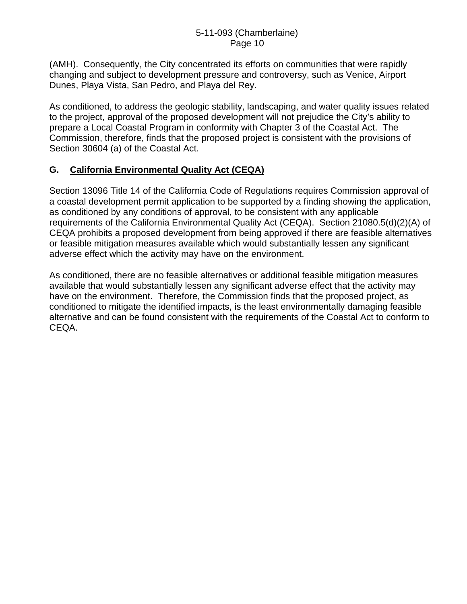(AMH). Consequently, the City concentrated its efforts on communities that were rapidly changing and subject to development pressure and controversy, such as Venice, Airport Dunes, Playa Vista, San Pedro, and Playa del Rey.

As conditioned, to address the geologic stability, landscaping, and water quality issues related to the project, approval of the proposed development will not prejudice the City's ability to prepare a Local Coastal Program in conformity with Chapter 3 of the Coastal Act. The Commission, therefore, finds that the proposed project is consistent with the provisions of Section 30604 (a) of the Coastal Act.

# **G. California Environmental Quality Act (CEQA)**

Section 13096 Title 14 of the California Code of Regulations requires Commission approval of a coastal development permit application to be supported by a finding showing the application, as conditioned by any conditions of approval, to be consistent with any applicable requirements of the California Environmental Quality Act (CEQA). Section 21080.5(d)(2)(A) of CEQA prohibits a proposed development from being approved if there are feasible alternatives or feasible mitigation measures available which would substantially lessen any significant adverse effect which the activity may have on the environment.

As conditioned, there are no feasible alternatives or additional feasible mitigation measures available that would substantially lessen any significant adverse effect that the activity may have on the environment. Therefore, the Commission finds that the proposed project, as conditioned to mitigate the identified impacts, is the least environmentally damaging feasible alternative and can be found consistent with the requirements of the Coastal Act to conform to CEQA.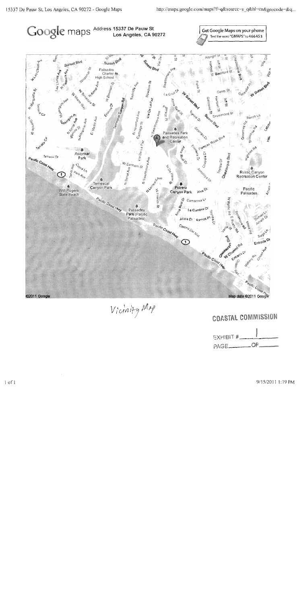

Vicinity Map

# COASTAL COMMISSION